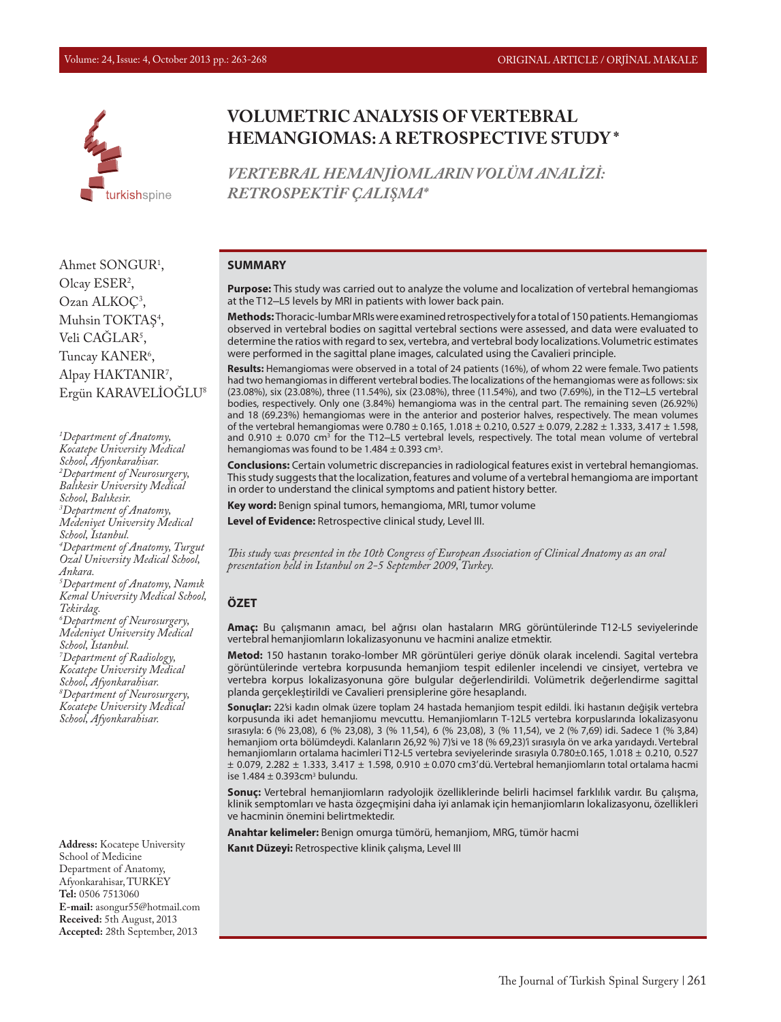

# **VOLUMETRIC ANALYSIS OF VERTEBRAL HEMANGIOMAS: A RETROSPECTIVE STUDY \***

*VERTEBRAL HEMANJİOMLARIN VOLÜM ANALİZİ: RETROSPEKTİF ÇALIŞMA\**

#### **SUMMARY**

**Purpose:** This study was carried out to analyze the volume and localization of vertebral hemangiomas at the T12–L5 levels by MRI in patients with lower back pain.

**Methods:** Thoracic-lumbar MRIs were examined retrospectively for a total of 150 patients. Hemangiomas observed in vertebral bodies on sagittal vertebral sections were assessed, and data were evaluated to determine the ratios with regard to sex, vertebra, and vertebral body localizations. Volumetric estimates were performed in the sagittal plane images, calculated using the Cavalieri principle.

**Results:** Hemangiomas were observed in a total of 24 patients (16%), of whom 22 were female. Two patients had two hemangiomas in different vertebral bodies. The localizations of the hemangiomas were as follows: six (23.08%), six (23.08%), three (11.54%), six (23.08%), three (11.54%), and two (7.69%), in the T12–L5 vertebral bodies, respectively. Only one (3.84%) hemangioma was in the central part. The remaining seven (26.92%) and 18 (69.23%) hemangiomas were in the anterior and posterior halves, respectively. The mean volumes of the vertebral hemangiomas were 0.780 ± 0.165, 1.018 ± 0.210, 0.527 ± 0.079, 2.282 ± 1.333, 3.417 ± 1.598, and 0.910  $\pm$  0.070 cm<sup>3</sup> for the T12–L5 vertebral levels, respectively. The total mean volume of vertebral hemangiomas was found to be  $1.484 \pm 0.393$  cm<sup>3</sup>.

**Conclusions:** Certain volumetric discrepancies in radiological features exist in vertebral hemangiomas. This study suggests that the localization, features and volume of a vertebral hemangioma are important in order to understand the clinical symptoms and patient history better.

**Key word:** Benign spinal tumors, hemangioma, MRI, tumor volume

**Level of Evidence:** Retrospective clinical study, Level III.

*This study was presented in the 10th Congress of European Association of Clinical Anatomy as an oral presentation held in Istanbul on 2-5 September 2009, Turkey.*

#### **ÖZET**

**Amaç:** Bu çalışmanın amacı, bel ağrısı olan hastaların MRG görüntülerinde T12-L5 seviyelerinde vertebral hemanjiomların lokalizasyonunu ve hacmini analize etmektir.

**Metod:** 150 hastanın torako-lomber MR görüntüleri geriye dönük olarak incelendi. Sagital vertebra görüntülerinde vertebra korpusunda hemanjiom tespit edilenler incelendi ve cinsiyet, vertebra ve vertebra korpus lokalizasyonuna göre bulgular değerlendirildi. Volümetrik değerlendirme sagittal planda gerçekleştirildi ve Cavalieri prensiplerine göre hesaplandı.

**Sonuçlar:** 22'si kadın olmak üzere toplam 24 hastada hemanjiom tespit edildi. İki hastanın değişik vertebra korpusunda iki adet hemanjiomu mevcuttu. Hemanjiomların T-12L5 vertebra korpuslarında lokalizasyonu sırasıyla: 6 (% 23,08), 6 (% 23,08), 3 (% 11,54), 6 (% 23,08), 3 (% 11,54), ve 2 (% 7,69) idi. Sadece 1 (% 3,84) hemanjiom orta bölümdeydi. Kalanların 26,92 %) 7)'si ve 18 (% 69,23)'i sırasıyla ön ve arka yarıdaydı. Vertebral hemanjiomların ortalama hacimleri T12-L5 vertebra seviyelerinde sırasıyla 0.780±0.165, 1.018 ± 0.210, 0.527 ± 0.079, 2.282 ± 1.333, 3.417 ± 1.598, 0.910 ± 0.070 cm3' dü. Vertebral hemanjiomların total ortalama hacmi ise  $1.484 \pm 0.393$ cm<sup>3</sup> bulundu.

**Sonuç:** Vertebral hemanjiomların radyolojik özelliklerinde belirli hacimsel farklılık vardır. Bu çalışma, klinik semptomları ve hasta özgeçmişini daha iyi anlamak için hemanjiomların lokalizasyonu, özellikleri ve hacminin önemini belirtmektedir.

**Anahtar kelimeler:** Benign omurga tümörü, hemanjiom, MRG, tümör hacmi

**Kanıt Düzeyi:** Retrospective klinik çalışma, Level III

Ahmet SONGUR1 , Olcay ESER<sup>2</sup>, Ozan ALKOÇ<sup>3</sup>, Muhsin TOKTAŞ<sup>4</sup>, Veli CAGLAR<sup>5</sup>, Tuncay KANER<sup>6</sup>, Alpay HAKTANIR<sup>7</sup>, Ergün KARAVELİOĞLU8

*1 Department of Anatomy, Kocatepe University Medical School, Afyonkarahisar. 2 Department of Neurosurgery, Balıkesir University Medical School, Balıkesir. 3 Department of Anatomy, Medeniyet University Medical School, Istanbul. 4 Department of Anatomy, Turgut Ozal University Medical School, Ankara. 5 Department of Anatomy, Namık Kemal University Medical School, Tekirdag. 6 Department of Neurosurgery, Medeniyet University Medical School, Istanbul. 7 Department of Radiology, Kocatepe University Medical School, Afyonkarahisar. 8 Department of Neurosurgery, Kocatepe University Medical School, Afyonkarahisar.*

**Address:** Kocatepe University School of Medicine Department of Anatomy, Afyonkarahisar, TURKEY **Tel:** 0506 7513060 **E-mail:** asongur55@hotmail.com **Received:** 5th August, 2013 **Accepted:** 28th September, 2013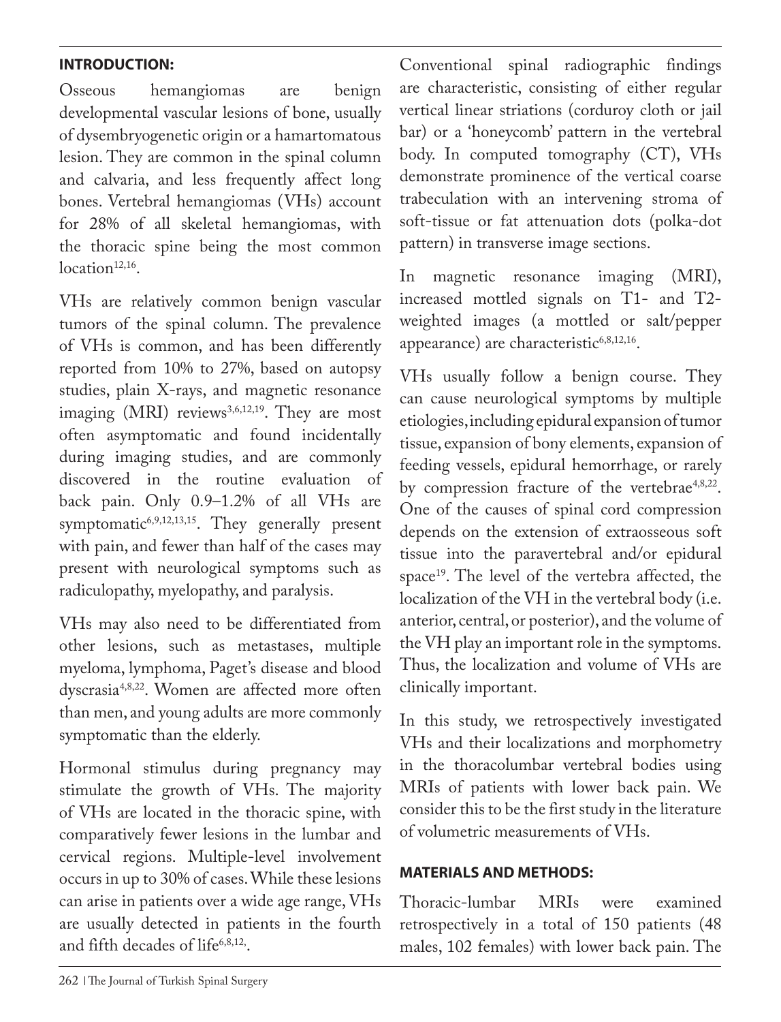# **INTRODUCTION:**

Osseous hemangiomas are benign developmental vascular lesions of bone, usually of dysembryogenetic origin or a hamartomatous lesion. They are common in the spinal column and calvaria, and less frequently affect long bones. Vertebral hemangiomas (VHs) account for 28% of all skeletal hemangiomas, with the thoracic spine being the most common  $location<sup>12,16</sup>$ .

VHs are relatively common benign vascular tumors of the spinal column. The prevalence of VHs is common, and has been differently reported from 10% to 27%, based on autopsy studies, plain X-rays, and magnetic resonance imaging (MRI) reviews<sup>3,6,12,19</sup>. They are most often asymptomatic and found incidentally during imaging studies, and are commonly discovered in the routine evaluation of back pain. Only 0.9–1.2% of all VHs are symptomatic<sup>6,9,12,13,15</sup>. They generally present with pain, and fewer than half of the cases may present with neurological symptoms such as radiculopathy, myelopathy, and paralysis.

VHs may also need to be differentiated from other lesions, such as metastases, multiple myeloma, lymphoma, Paget's disease and blood dyscrasia4,8,22. Women are affected more often than men, and young adults are more commonly symptomatic than the elderly.

Hormonal stimulus during pregnancy may stimulate the growth of VHs. The majority of VHs are located in the thoracic spine, with comparatively fewer lesions in the lumbar and cervical regions. Multiple-level involvement occurs in up to 30% of cases. While these lesions can arise in patients over a wide age range, VHs are usually detected in patients in the fourth and fifth decades of life $6,8,12$ ,

Conventional spinal radiographic findings are characteristic, consisting of either regular vertical linear striations (corduroy cloth or jail bar) or a 'honeycomb' pattern in the vertebral body. In computed tomography (CT), VHs demonstrate prominence of the vertical coarse trabeculation with an intervening stroma of soft-tissue or fat attenuation dots (polka-dot pattern) in transverse image sections.

In magnetic resonance imaging (MRI), increased mottled signals on T1- and T2 weighted images (a mottled or salt/pepper appearance) are characteristic<sup>6,8,12,16</sup>.

VHs usually follow a benign course. They can cause neurological symptoms by multiple etiologies, including epidural expansion of tumor tissue, expansion of bony elements, expansion of feeding vessels, epidural hemorrhage, or rarely by compression fracture of the vertebrae<sup>4,8,22</sup>. One of the causes of spinal cord compression depends on the extension of extraosseous soft tissue into the paravertebral and/or epidural space<sup>19</sup>. The level of the vertebra affected, the localization of the VH in the vertebral body (i.e. anterior, central, or posterior), and the volume of the VH play an important role in the symptoms. Thus, the localization and volume of VHs are clinically important.

In this study, we retrospectively investigated VHs and their localizations and morphometry in the thoracolumbar vertebral bodies using MRIs of patients with lower back pain. We consider this to be the first study in the literature of volumetric measurements of VHs.

# **MATERIALS AND METHODS:**

Thoracic-lumbar MRIs were examined retrospectively in a total of 150 patients (48 males, 102 females) with lower back pain. The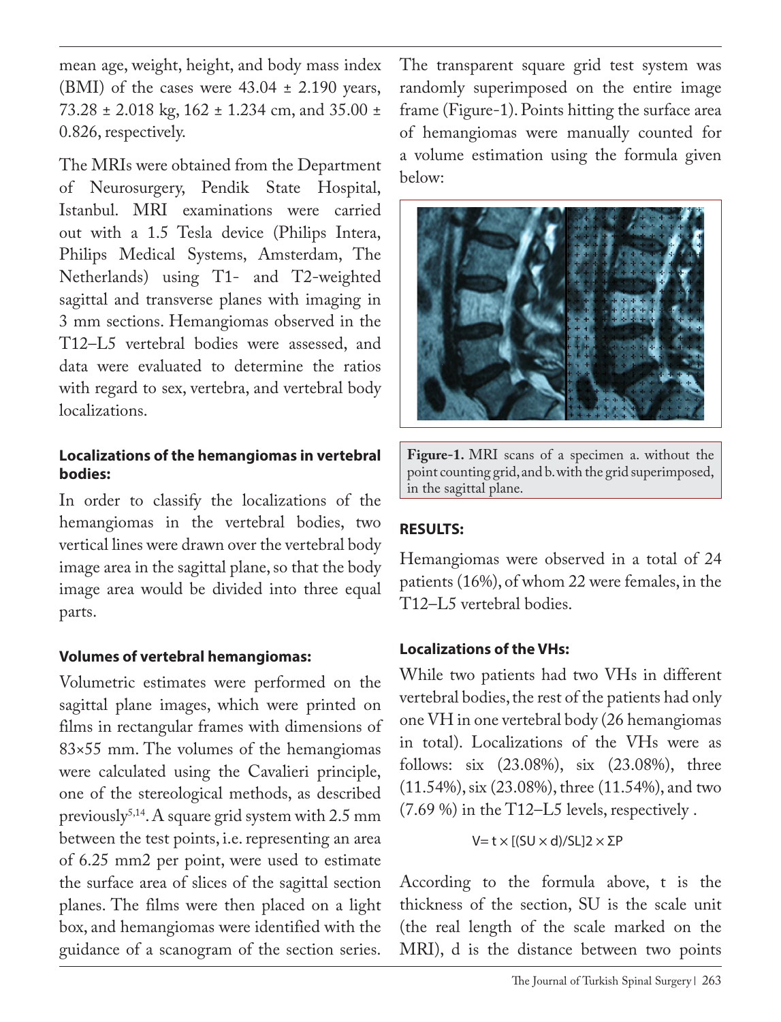mean age, weight, height, and body mass index (BMI) of the cases were  $43.04 \pm 2.190$  years, 73.28 ± 2.018 kg, 162 ± 1.234 cm, and 35.00 ± 0.826, respectively.

The MRIs were obtained from the Department of Neurosurgery, Pendik State Hospital, Istanbul. MRI examinations were carried out with a 1.5 Tesla device (Philips Intera, Philips Medical Systems, Amsterdam, The Netherlands) using T1- and T2-weighted sagittal and transverse planes with imaging in 3 mm sections. Hemangiomas observed in the T12–L5 vertebral bodies were assessed, and data were evaluated to determine the ratios with regard to sex, vertebra, and vertebral body localizations.

## **Localizations of the hemangiomas in vertebral bodies:**

In order to classify the localizations of the hemangiomas in the vertebral bodies, two vertical lines were drawn over the vertebral body image area in the sagittal plane, so that the body image area would be divided into three equal parts.

# **Volumes of vertebral hemangiomas:**

Volumetric estimates were performed on the sagittal plane images, which were printed on films in rectangular frames with dimensions of 83×55 mm. The volumes of the hemangiomas were calculated using the Cavalieri principle, one of the stereological methods, as described previously<sup>5,14</sup>. A square grid system with 2.5 mm between the test points, i.e. representing an area of 6.25 mm2 per point, were used to estimate the surface area of slices of the sagittal section planes. The films were then placed on a light box, and hemangiomas were identified with the guidance of a scanogram of the section series.

The transparent square grid test system was randomly superimposed on the entire image frame (Figure-1). Points hitting the surface area of hemangiomas were manually counted for a volume estimation using the formula given below:



**Figure-1.** MRI scans of a specimen a. without the point counting grid, and b. with the grid superimposed, in the sagittal plane.

# **RESULTS:**

Hemangiomas were observed in a total of 24 patients (16%), of whom 22 were females, in the T12–L5 vertebral bodies.

# **Localizations of the VHs:**

While two patients had two VHs in different vertebral bodies, the rest of the patients had only one VH in one vertebral body (26 hemangiomas in total). Localizations of the VHs were as follows: six (23.08%), six (23.08%), three (11.54%), six (23.08%), three (11.54%), and two (7.69 %) in the T12–L5 levels, respectively .

V= t  $\times$  [(SU  $\times$  d)/SL]2  $\times$  ΣP

According to the formula above, t is the thickness of the section, SU is the scale unit (the real length of the scale marked on the MRI), d is the distance between two points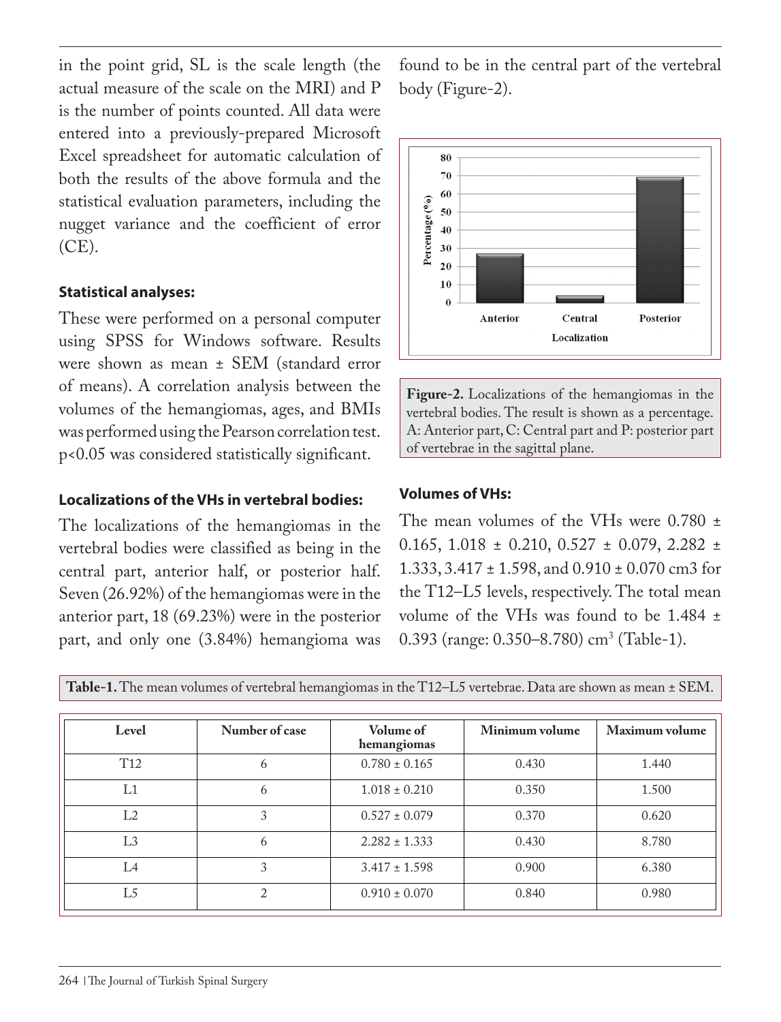in the point grid, SL is the scale length (the actual measure of the scale on the MRI) and P is the number of points counted. All data were entered into a previously-prepared Microsoft Excel spreadsheet for automatic calculation of both the results of the above formula and the statistical evaluation parameters, including the nugget variance and the coefficient of error (CE).

## **Statistical analyses:**

These were performed on a personal computer using SPSS for Windows software. Results were shown as mean ± SEM (standard error of means). A correlation analysis between the volumes of the hemangiomas, ages, and BMIs was performed using the Pearson correlation test. p<0.05 was considered statistically significant.

## **Localizations of the VHs in vertebral bodies:**

The localizations of the hemangiomas in the vertebral bodies were classified as being in the central part, anterior half, or posterior half. Seven (26.92%) of the hemangiomas were in the anterior part, 18 (69.23%) were in the posterior part, and only one (3.84%) hemangioma was found to be in the central part of the vertebral body (Figure-2).



**Figure-2.** Localizations of the hemangiomas in the vertebral bodies. The result is shown as a percentage. A: Anterior part, C: Central part and P: posterior part of vertebrae in the sagittal plane.

## **Volumes of VHs:**

The mean volumes of the VHs were 0.780  $\pm$ 0.165, 1.018  $\pm$  0.210, 0.527  $\pm$  0.079, 2.282  $\pm$ 1.333, 3.417 ± 1.598, and 0.910 ± 0.070 cm3 for the T12–L5 levels, respectively. The total mean volume of the VHs was found to be 1.484 ± 0.393 (range: 0.350–8.780) cm<sup>3</sup> (Table-1).

| Level           | Number of case | Volume of<br>hemangiomas | Minimum volume | Maximum volume |
|-----------------|----------------|--------------------------|----------------|----------------|
| T <sub>12</sub> | <sub>6</sub>   | $0.780 \pm 0.165$        | 0.430          | 1.440          |
| L1              | 6              | $1.018 \pm 0.210$        | 0.350          | 1.500          |
| L <sub>2</sub>  | 3              | $0.527 \pm 0.079$        | 0.370          | 0.620          |
| L3              | <sub>6</sub>   | $2.282 \pm 1.333$        | 0.430          | 8.780          |
| $L_4$           | 3              | $3.417 \pm 1.598$        | 0.900          | 6.380          |
| L5              | $\bigcap$      | $0.910 \pm 0.070$        | 0.840          | 0.980          |

**Table-1.** The mean volumes of vertebral hemangiomas in the T12–L5 vertebrae. Data are shown as mean ± SEM.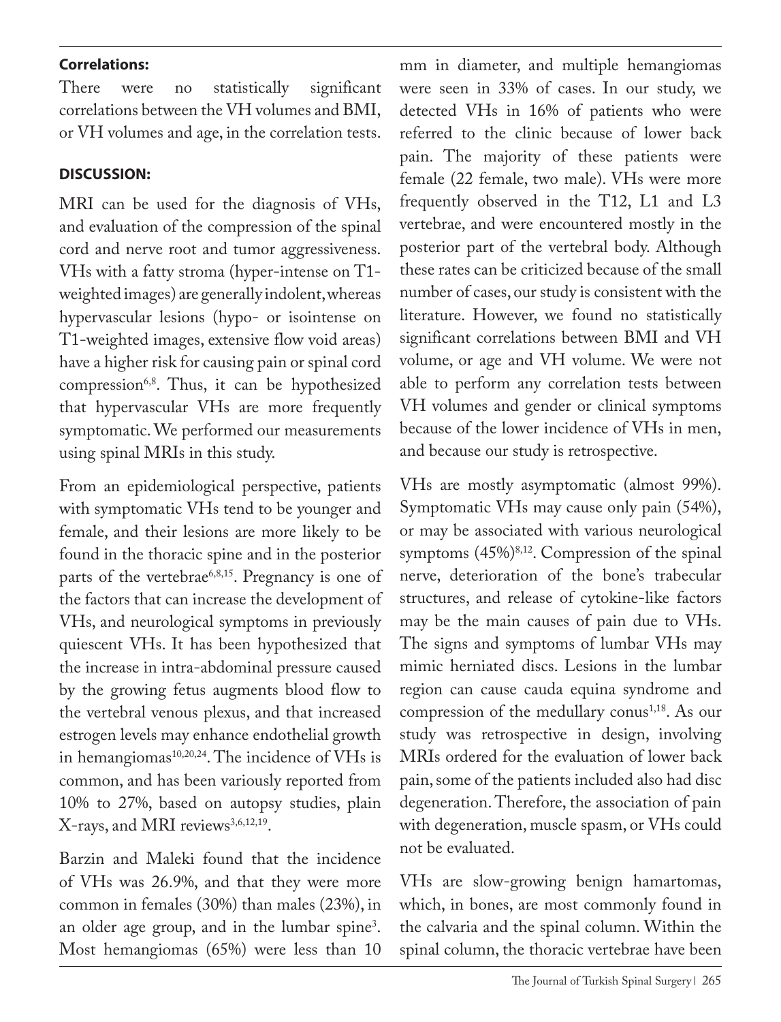## **Correlations:**

There were no statistically significant correlations between the VH volumes and BMI, or VH volumes and age, in the correlation tests.

# **DISCUSSION:**

MRI can be used for the diagnosis of VHs, and evaluation of the compression of the spinal cord and nerve root and tumor aggressiveness. VHs with a fatty stroma (hyper-intense on T1 weighted images) are generally indolent, whereas hypervascular lesions (hypo- or isointense on T1-weighted images, extensive flow void areas) have a higher risk for causing pain or spinal cord compression<sup>6,8</sup>. Thus, it can be hypothesized that hypervascular VHs are more frequently symptomatic. We performed our measurements using spinal MRIs in this study.

From an epidemiological perspective, patients with symptomatic VHs tend to be younger and female, and their lesions are more likely to be found in the thoracic spine and in the posterior parts of the vertebrae<sup>6,8,15</sup>. Pregnancy is one of the factors that can increase the development of VHs, and neurological symptoms in previously quiescent VHs. It has been hypothesized that the increase in intra-abdominal pressure caused by the growing fetus augments blood flow to the vertebral venous plexus, and that increased estrogen levels may enhance endothelial growth in hemangiomas<sup>10,20,24</sup>. The incidence of VHs is common, and has been variously reported from 10% to 27%, based on autopsy studies, plain X-rays, and MRI reviews<sup>3,6,12,19</sup>.

Barzin and Maleki found that the incidence of VHs was 26.9%, and that they were more common in females (30%) than males (23%), in an older age group, and in the lumbar spine3 . Most hemangiomas (65%) were less than 10

mm in diameter, and multiple hemangiomas were seen in 33% of cases. In our study, we detected VHs in 16% of patients who were referred to the clinic because of lower back pain. The majority of these patients were female (22 female, two male). VHs were more frequently observed in the T12, L1 and L3 vertebrae, and were encountered mostly in the posterior part of the vertebral body. Although these rates can be criticized because of the small number of cases, our study is consistent with the literature. However, we found no statistically significant correlations between BMI and VH volume, or age and VH volume. We were not able to perform any correlation tests between VH volumes and gender or clinical symptoms because of the lower incidence of VHs in men, and because our study is retrospective.

VHs are mostly asymptomatic (almost 99%). Symptomatic VHs may cause only pain (54%), or may be associated with various neurological symptoms  $(45\%)^{8,12}$ . Compression of the spinal nerve, deterioration of the bone's trabecular structures, and release of cytokine-like factors may be the main causes of pain due to VHs. The signs and symptoms of lumbar VHs may mimic herniated discs. Lesions in the lumbar region can cause cauda equina syndrome and compression of the medullary conus<sup>1,18</sup>. As our study was retrospective in design, involving MRIs ordered for the evaluation of lower back pain, some of the patients included also had disc degeneration. Therefore, the association of pain with degeneration, muscle spasm, or VHs could not be evaluated.

VHs are slow-growing benign hamartomas, which, in bones, are most commonly found in the calvaria and the spinal column. Within the spinal column, the thoracic vertebrae have been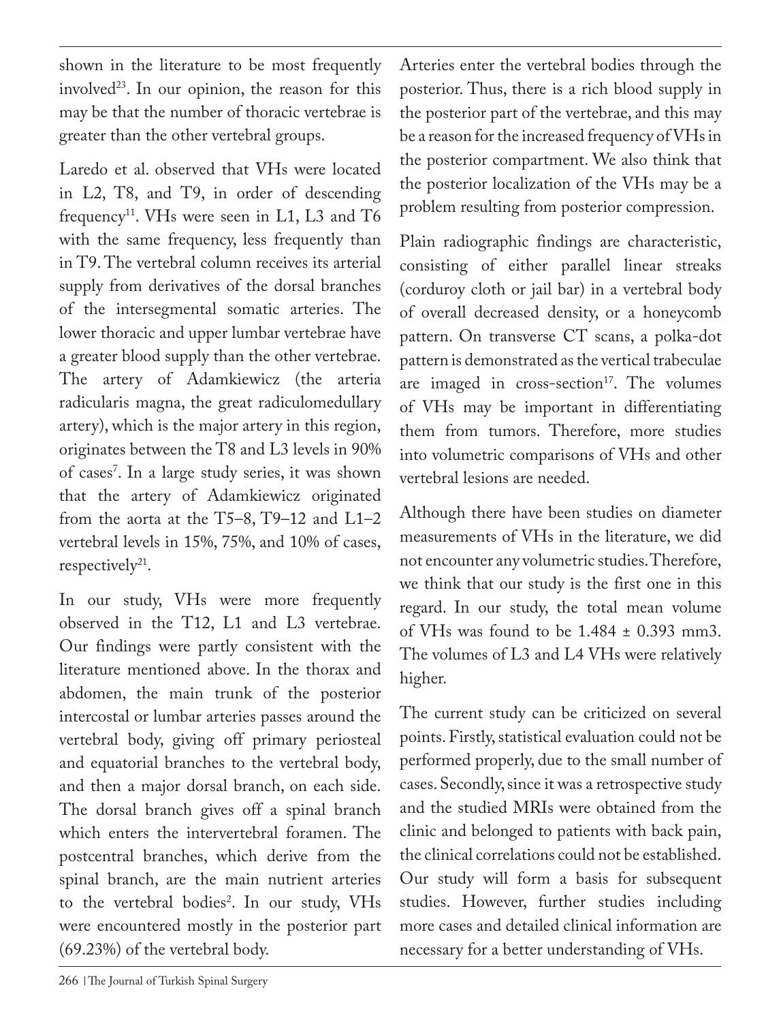shown in the literature to be most frequently involved<sup>23</sup>. In our opinion, the reason for this may be that the number of thoracic vertebrae is greater than the other vertebral groups.

Laredo et al. observed that VHs were located in L2, T8, and T9, in order of descending frequency<sup>11</sup>. VHs were seen in L1, L3 and T6 with the same frequency, less frequently than in T9. The vertebral column receives its arterial supply from derivatives of the dorsal branches of the intersegmental somatic arteries. The lower thoracic and upper lumbar vertebrae have a greater blood supply than the other vertebrae. The artery of Adamkiewicz (the arteria radicularis magna, the great radiculomedullary artery), which is the major artery in this region, originates between the T8 and L3 levels in 90% of cases7 . In a large study series, it was shown that the artery of Adamkiewicz originated from the aorta at the T5–8, T9–12 and L1–2 vertebral levels in 15%, 75%, and 10% of cases, respectively $2^1$ .

In our study, VHs were more frequently observed in the T12, L1 and L3 vertebrae. Our findings were partly consistent with the literature mentioned above. In the thorax and abdomen, the main trunk of the posterior intercostal or lumbar arteries passes around the vertebral body, giving off primary periosteal and equatorial branches to the vertebral body, and then a major dorsal branch, on each side. The dorsal branch gives off a spinal branch which enters the intervertebral foramen. The postcentral branches, which derive from the spinal branch, are the main nutrient arteries to the vertebral bodies2 . In our study, VHs were encountered mostly in the posterior part (69.23%) of the vertebral body.

Arteries enter the vertebral bodies through the posterior. Thus, there is a rich blood supply in the posterior part of the vertebrae, and this may be a reason for the increased frequency of VHs in the posterior compartment. We also think that the posterior localization of the VHs may be a problem resulting from posterior compression.

Plain radiographic findings are characteristic, consisting of either parallel linear streaks (corduroy cloth or jail bar) in a vertebral body of overall decreased density, or a honeycomb pattern. On transverse CT scans, a polka-dot pattern is demonstrated as the vertical trabeculae are imaged in cross-section<sup>17</sup>. The volumes of VHs may be important in differentiating them from tumors. Therefore, more studies into volumetric comparisons of VHs and other vertebral lesions are needed.

Although there have been studies on diameter measurements of VHs in the literature, we did not encounter any volumetric studies. Therefore, we think that our study is the first one in this regard. In our study, the total mean volume of VHs was found to be  $1.484 \pm 0.393$  mm3. The volumes of L3 and L4 VHs were relatively higher.

The current study can be criticized on several points. Firstly, statistical evaluation could not be performed properly, due to the small number of cases. Secondly, since it was a retrospective study and the studied MRIs were obtained from the clinic and belonged to patients with back pain, the clinical correlations could not be established. Our study will form a basis for subsequent studies. However, further studies including more cases and detailed clinical information are necessary for a better understanding of VHs.